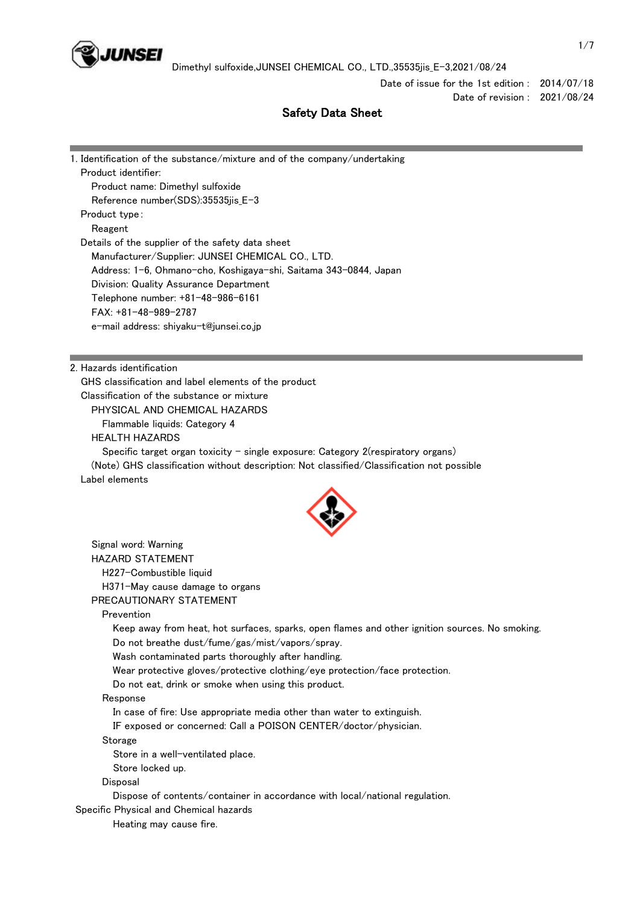

Dimethyl sulfoxide,JUNSEI CHEMICAL CO., LTD.,35535jis\_E-3,2021/08/24

Date of issue for the 1st edition : 2014/07/18 Date of revision : 2021/08/24

### Safety Data Sheet

| 1. Identification of the substance/mixture and of the company/undertaking                      |  |
|------------------------------------------------------------------------------------------------|--|
| Product identifier:                                                                            |  |
| Product name: Dimethyl sulfoxide                                                               |  |
| Reference number(SDS):35535jis_E-3                                                             |  |
| Product type:                                                                                  |  |
| Reagent                                                                                        |  |
| Details of the supplier of the safety data sheet                                               |  |
| Manufacturer/Supplier: JUNSEI CHEMICAL CO., LTD.                                               |  |
| Address: 1-6, Ohmano-cho, Koshigaya-shi, Saitama 343-0844, Japan                               |  |
| Division: Quality Assurance Department                                                         |  |
| Telephone number: +81-48-986-6161                                                              |  |
| FAX: +81-48-989-2787                                                                           |  |
| e-mail address: shiyaku-t@junsei.co.jp                                                         |  |
|                                                                                                |  |
| 2. Hazards identification                                                                      |  |
| GHS classification and label elements of the product                                           |  |
| Classification of the substance or mixture                                                     |  |
| PHYSICAL AND CHEMICAL HAZARDS                                                                  |  |
| Flammable liquids: Category 4                                                                  |  |
| <b>HEALTH HAZARDS</b>                                                                          |  |
| Specific target organ toxicity - single exposure: Category 2(respiratory organs)               |  |
| (Note) GHS classification without description: Not classified/Classification not possible      |  |
| Label elements                                                                                 |  |
|                                                                                                |  |
| Signal word: Warning                                                                           |  |
| <b>HAZARD STATEMENT</b>                                                                        |  |
| H227-Combustible liquid                                                                        |  |
| H371-May cause damage to organs                                                                |  |
| PRECAUTIONARY STATEMENT                                                                        |  |
| Prevention                                                                                     |  |
| Keep away from heat, hot surfaces, sparks, open flames and other ignition sources. No smoking. |  |
| Do not breathe dust/fume/gas/mist/vapors/spray.                                                |  |
| Wash contaminated parts thoroughly after handling.                                             |  |
| Wear protective gloves/protective clothing/eye protection/face protection.                     |  |
| Do not eat, drink or smoke when using this product.                                            |  |
| Response                                                                                       |  |
| In case of fire: Use appropriate media other than water to extinguish.                         |  |
| IF exposed or concerned: Call a POISON CENTER/doctor/physician.                                |  |
| Storage                                                                                        |  |
| Store in a well-ventilated place.                                                              |  |
| Store locked up.                                                                               |  |
| Disposal                                                                                       |  |
| Dispose of contents/container in accordance with local/national regulation.                    |  |
| Specific Physical and Chemical hazards                                                         |  |

Heating may cause fire.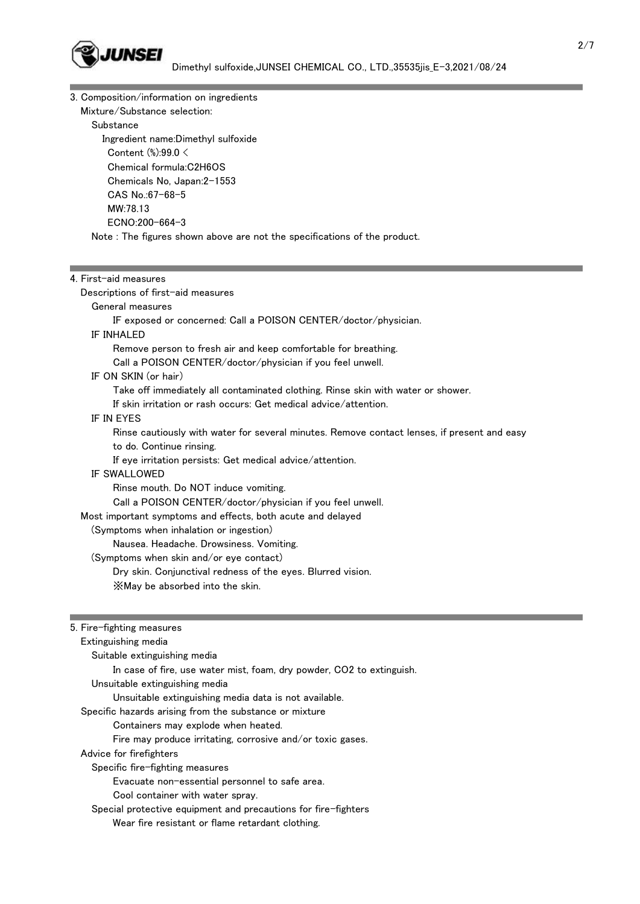

3. Composition/information on ingredients

 Mixture/Substance selection: Substance Ingredient name:Dimethyl sulfoxide Content (%):99.0 < Chemical formula:C2H6OS Chemicals No, Japan:2-1553 CAS No.:67-68-5 MW:78.13 ECNO:200-664-3 Note : The figures shown above are not the specifications of the product.

# 4. First-aid measures Descriptions of first-aid measures General measures

### IF exposed or concerned: Call a POISON CENTER/doctor/physician.

### IF INHALED

Remove person to fresh air and keep comfortable for breathing.

Call a POISON CENTER/doctor/physician if you feel unwell.

### IF ON SKIN (or hair)

Take off immediately all contaminated clothing. Rinse skin with water or shower.

If skin irritation or rash occurs: Get medical advice/attention.

### IF IN EYES

 Rinse cautiously with water for several minutes. Remove contact lenses, if present and easy to do. Continue rinsing.

If eye irritation persists: Get medical advice/attention.

### IF SWALLOWED

 Rinse mouth. Do NOT induce vomiting. Call a POISON CENTER/doctor/physician if you feel unwell. Most important symptoms and effects, both acute and delayed (Symptoms when inhalation or ingestion)

## Nausea. Headache. Drowsiness. Vomiting.

(Symptoms when skin and/or eye contact)

Dry skin. Conjunctival redness of the eyes. Blurred vision.

※May be absorbed into the skin.

### 5. Fire-fighting measures

 Extinguishing media Suitable extinguishing media In case of fire, use water mist, foam, dry powder, CO2 to extinguish. Unsuitable extinguishing media Unsuitable extinguishing media data is not available. Specific hazards arising from the substance or mixture Containers may explode when heated. Fire may produce irritating, corrosive and/or toxic gases. Advice for firefighters Specific fire-fighting measures Evacuate non-essential personnel to safe area. Cool container with water spray. Special protective equipment and precautions for fire-fighters Wear fire resistant or flame retardant clothing.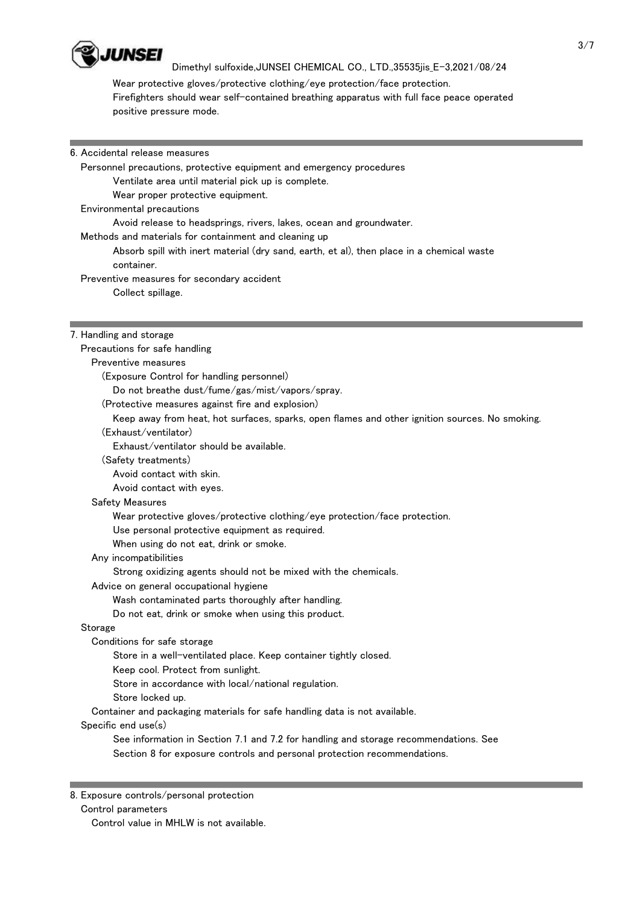

### Dimethyl sulfoxide,JUNSEI CHEMICAL CO., LTD.,35535jis\_E-3,2021/08/24

 Wear protective gloves/protective clothing/eye protection/face protection. Firefighters should wear self-contained breathing apparatus with full face peace operated positive pressure mode.

| 6. Accidental release measures                                                                                                                        |                   |
|-------------------------------------------------------------------------------------------------------------------------------------------------------|-------------------|
| Personnel precautions, protective equipment and emergency procedures                                                                                  |                   |
| Ventilate area until material pick up is complete.                                                                                                    |                   |
| Wear proper protective equipment.                                                                                                                     |                   |
| Environmental precautions                                                                                                                             |                   |
| Avoid release to headsprings, rivers, lakes, ocean and groundwater.                                                                                   |                   |
| Methods and materials for containment and cleaning up                                                                                                 |                   |
| Absorb spill with inert material (dry sand, earth, et al), then place in a chemical waste<br>container.<br>Preventive measures for secondary accident |                   |
|                                                                                                                                                       | Collect spillage. |
|                                                                                                                                                       |                   |
| 7. Handling and storage                                                                                                                               |                   |
| Precautions for safe handling                                                                                                                         |                   |
| Preventive measures                                                                                                                                   |                   |
| (Exposure Control for handling personnel)                                                                                                             |                   |
| Do not breathe dust/fume/gas/mist/vapors/spray.                                                                                                       |                   |
| (Protective measures against fire and explosion)                                                                                                      |                   |
| Keep away from heat, hot surfaces, sparks, open flames and other ignition sources. No smoking.                                                        |                   |
| (Exhaust/ventilator)                                                                                                                                  |                   |
| Exhaust/ventilator should be available.                                                                                                               |                   |
| (Safety treatments)                                                                                                                                   |                   |
| Avoid contact with skin.                                                                                                                              |                   |
| Avoid contact with eyes.                                                                                                                              |                   |
| Safety Measures                                                                                                                                       |                   |
| Wear protective gloves/protective clothing/eye protection/face protection.                                                                            |                   |
| Use personal protective equipment as required.                                                                                                        |                   |
| When using do not eat, drink or smoke.                                                                                                                |                   |
| Any incompatibilities                                                                                                                                 |                   |
| Strong oxidizing agents should not be mixed with the chemicals.                                                                                       |                   |
| Advice on general occupational hygiene                                                                                                                |                   |
| Wash contaminated parts thoroughly after handling.                                                                                                    |                   |
| Do not eat, drink or smoke when using this product.                                                                                                   |                   |
| Storage                                                                                                                                               |                   |
| Conditions for safe storage                                                                                                                           |                   |
| Store in a well-ventilated place. Keep container tightly closed.                                                                                      |                   |
| Keep cool. Protect from sunlight.                                                                                                                     |                   |
| Store in accordance with local/national regulation.                                                                                                   |                   |
| Store locked up.                                                                                                                                      |                   |
| Container and packaging materials for safe handling data is not available.                                                                            |                   |
| Specific end use(s)                                                                                                                                   |                   |
| See information in Section 7.1 and 7.2 for handling and storage recommendations. See                                                                  |                   |
| Section 8 for exposure controls and personal protection recommendations.                                                                              |                   |
|                                                                                                                                                       |                   |

8. Exposure controls/personal protection

Control parameters

Control value in MHLW is not available.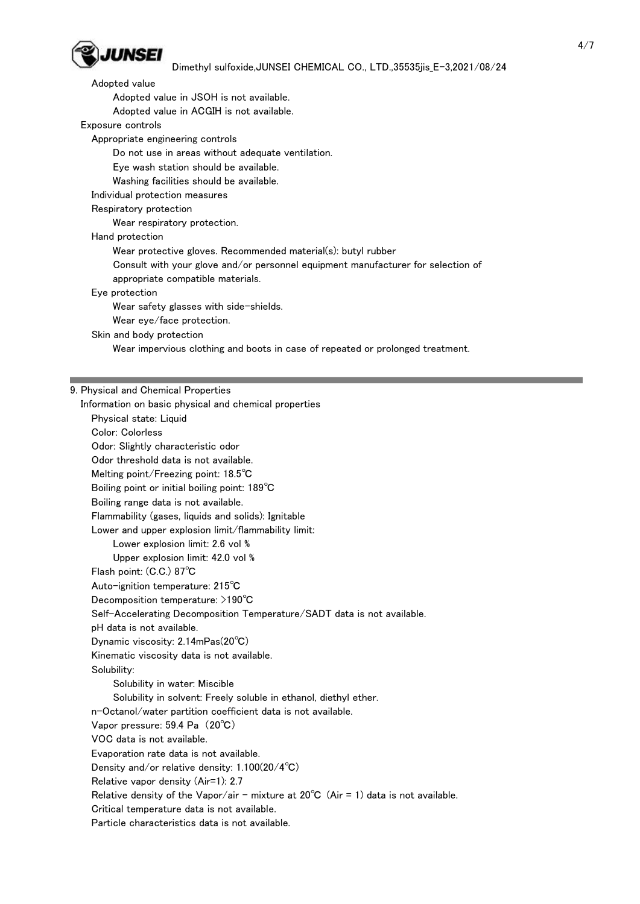

### Dimethyl sulfoxide,JUNSEI CHEMICAL CO., LTD.,35535jis\_E-3,2021/08/24

 Adopted value Adopted value in JSOH is not available. Adopted value in ACGIH is not available. Exposure controls Appropriate engineering controls Do not use in areas without adequate ventilation. Eye wash station should be available. Washing facilities should be available. Individual protection measures Respiratory protection Wear respiratory protection. Hand protection Wear protective gloves. Recommended material(s): butyl rubber Consult with your glove and/or personnel equipment manufacturer for selection of appropriate compatible materials. Eye protection Wear safety glasses with side-shields. Wear eye/face protection. Skin and body protection Wear impervious clothing and boots in case of repeated or prolonged treatment.

#### 9. Physical and Chemical Properties

 Information on basic physical and chemical properties Physical state: Liquid Color: Colorless Odor: Slightly characteristic odor Odor threshold data is not available. Melting point/Freezing point: 18.5℃ Boiling point or initial boiling point: 189℃ Boiling range data is not available. Flammability (gases, liquids and solids): Ignitable Lower and upper explosion limit/flammability limit: Lower explosion limit: 2.6 vol % Upper explosion limit: 42.0 vol % Flash point: (C.C.) 87℃ Auto-ignition temperature: 215℃ Decomposition temperature: >190℃ Self-Accelerating Decomposition Temperature/SADT data is not available. pH data is not available. Dynamic viscosity: 2.14mPas(20℃) Kinematic viscosity data is not available. Solubility: Solubility in water: Miscible Solubility in solvent: Freely soluble in ethanol, diethyl ether. n-Octanol/water partition coefficient data is not available. Vapor pressure: 59.4 Pa (20℃) VOC data is not available. Evaporation rate data is not available. Density and/or relative density: 1.100(20/4℃) Relative vapor density (Air=1): 2.7 Relative density of the Vapor/air - mixture at  $20^{\circ}$ C (Air = 1) data is not available. Critical temperature data is not available. Particle characteristics data is not available.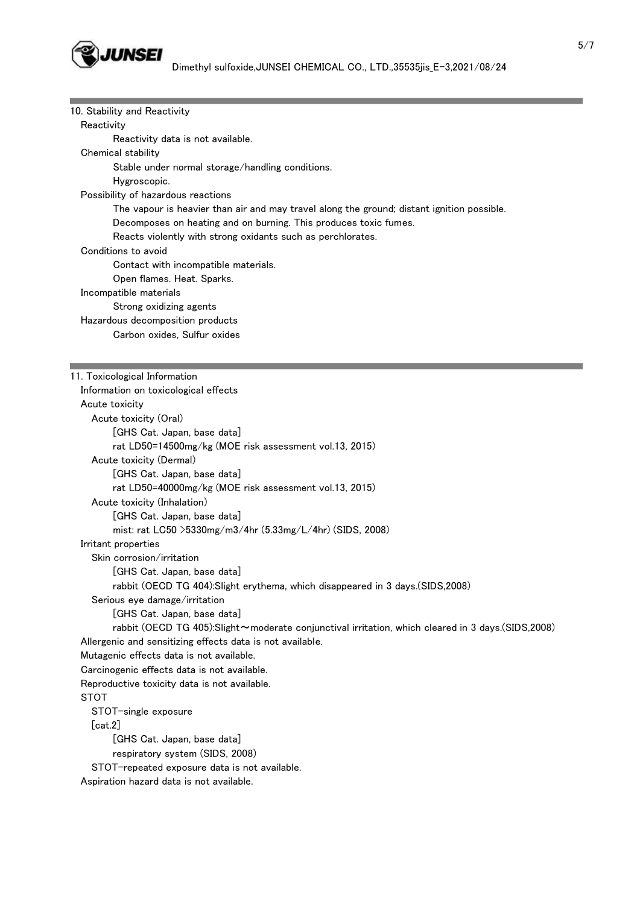

10. Stability and Reactivity

**Reactivity** 

Reactivity data is not available.

### Chemical stability

Stable under normal storage/handling conditions.

Hygroscopic.

Possibility of hazardous reactions

The vapour is heavier than air and may travel along the ground; distant ignition possible.

Decomposes on heating and on burning. This produces toxic fumes.

Reacts violently with strong oxidants such as perchlorates.

### Conditions to avoid

Contact with incompatible materials.

Open flames. Heat. Sparks.

Incompatible materials

Strong oxidizing agents

Hazardous decomposition products

Carbon oxides, Sulfur oxides

### 11. Toxicological Information

 Information on toxicological effects Acute toxicity Acute toxicity (Oral) [GHS Cat. Japan, base data] rat LD50=14500mg/kg (MOE risk assessment vol.13, 2015) Acute toxicity (Dermal) [GHS Cat. Japan, base data] rat LD50=40000mg/kg (MOE risk assessment vol.13, 2015) Acute toxicity (Inhalation) [GHS Cat. Japan, base data] mist: rat LC50 >5330mg/m3/4hr (5.33mg/L/4hr) (SIDS, 2008) Irritant properties Skin corrosion/irritation [GHS Cat. Japan, base data] rabbit (OECD TG 404):Slight erythema, which disappeared in 3 days.(SIDS,2008) Serious eye damage/irritation [GHS Cat. Japan, base data] rabbit (OECD TG 405):Slight~moderate conjunctival irritation, which cleared in 3 days.(SIDS,2008) Allergenic and sensitizing effects data is not available. Mutagenic effects data is not available. Carcinogenic effects data is not available. Reproductive toxicity data is not available. STOT STOT-single exposure [cat.2] [GHS Cat. Japan, base data] respiratory system (SIDS, 2008) STOT-repeated exposure data is not available. Aspiration hazard data is not available.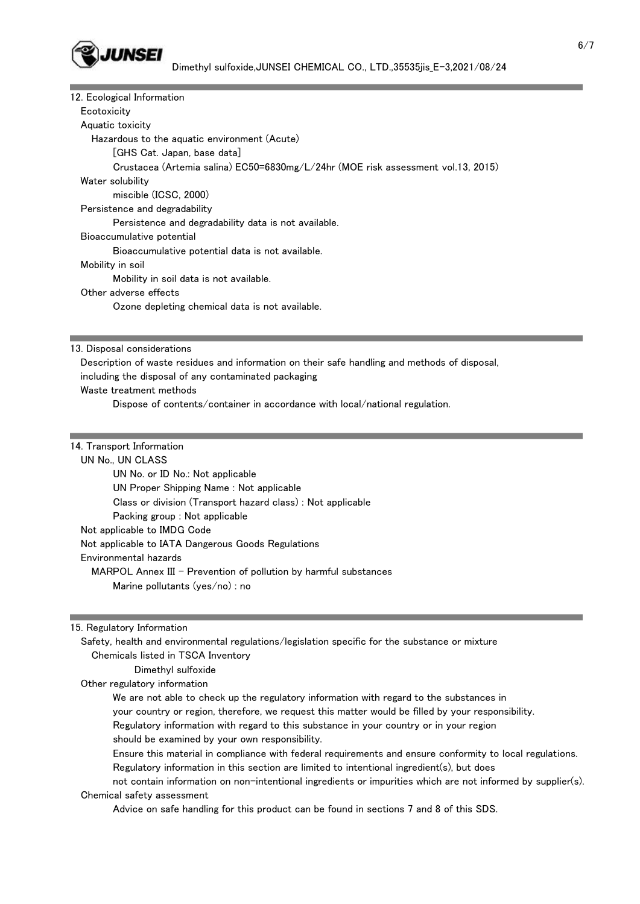

| 12. Ecological Information                                                       |
|----------------------------------------------------------------------------------|
| Ecotoxicity                                                                      |
| Aquatic toxicity                                                                 |
| Hazardous to the aquatic environment (Acute)                                     |
| [GHS Cat. Japan, base data]                                                      |
| Crustacea (Artemia salina) EC50=6830mg/L/24hr (MOE risk assessment vol.13, 2015) |
| Water solubility                                                                 |
| miscible (ICSC, 2000)                                                            |
| Persistence and degradability                                                    |
| Persistence and degradability data is not available.                             |
| Bioaccumulative potential                                                        |
| Bioaccumulative potential data is not available.                                 |
| Mobility in soil                                                                 |
| Mobility in soil data is not available.                                          |
| Other adverse effects                                                            |
| Ozone depleting chemical data is not available.                                  |

13. Disposal considerations

 Description of waste residues and information on their safe handling and methods of disposal, including the disposal of any contaminated packaging Waste treatment methods Dispose of contents/container in accordance with local/national regulation.

#### 14. Transport Information

 UN No., UN CLASS UN No. or ID No.: Not applicable UN Proper Shipping Name : Not applicable Class or division (Transport hazard class) : Not applicable Packing group : Not applicable Not applicable to IMDG Code Not applicable to IATA Dangerous Goods Regulations Environmental hazards MARPOL Annex III - Prevention of pollution by harmful substances Marine pollutants (yes/no) : no

15. Regulatory Information

 Safety, health and environmental regulations/legislation specific for the substance or mixture Chemicals listed in TSCA Inventory

### Dimethyl sulfoxide

Other regulatory information

We are not able to check up the regulatory information with regard to the substances in

your country or region, therefore, we request this matter would be filled by your responsibility.

Regulatory information with regard to this substance in your country or in your region

should be examined by your own responsibility.

 Ensure this material in compliance with federal requirements and ensure conformity to local regulations. Regulatory information in this section are limited to intentional ingredient(s), but does

 not contain information on non-intentional ingredients or impurities which are not informed by supplier(s). Chemical safety assessment

Advice on safe handling for this product can be found in sections 7 and 8 of this SDS.